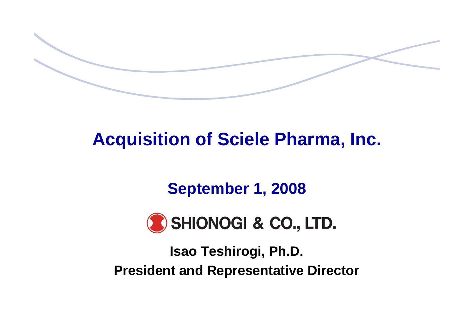# **Acquisition of Sciele Pharma, Inc.**

## **September 1, 2008**



**Isao Teshirogi, Ph.D. President and Representative Director**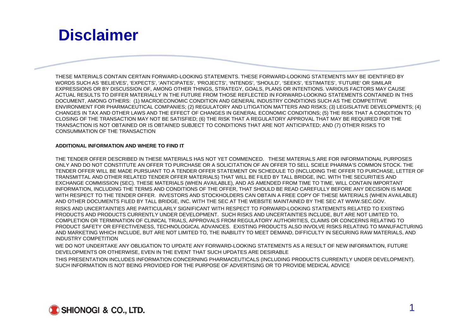### **Disclaimer**

THESE MATERIALS CONTAIN CERTAIN FORWARD-LOOKING STATEMENTS. THESE FORWARD-LOOKING STATEMENTS MAY BE IDENTIFIED BY WORDS SUCH AS 'BELIEVES', 'EXPECTS', 'ANTICIPATES', 'PROJECTS', 'INTENDS', 'SHOULD', 'SEEKS', 'ESTIMATES', 'FUTURE' OR SIMILAR EXPRESSIONS OR BY DISCUSSION OF, AMONG OTHER THINGS, STRATEGY, GOALS, PLANS OR INTENTIONS. VARIOUS FACTORS MAY CAUSE ACTUAL RESULTS TO DIFFER MATERIALLY IN THE FUTURE FROM THOSE REFLECTED IN FORWARD-LOOKING STATEMENTS CONTAINED IN THIS DOCUMENT, AMONG OTHERS: (1) MACROECONOMIC CONDITION AND GENERAL INDUSTRY CONDITIONS SUCH AS THE COMPETITIVE ENVIRONMENT FOR PHARMACEUTICAL COMPANIES; (2) REGULATORY AND LITIGATION MATTERS AND RISKS; (3) LEGISLATIVE DEVELOPMENTS; (4) CHANGES IN TAX AND OTHER LAWS AND THE EFFECT OF CHANGES IN GENERAL ECONOMIC CONDITIONS; (5) THE RISK THAT A CONDITION TO CLOSING OF THE TRANSACTION MAY NOT BE SATISFIED; (6) THE RISK THAT A REGULATORY APPROVAL THAT MAY BE REQUIRED FOR THE TRANSACTION IS NOT OBTAINED OR IS OBTAINED SUBJECT TO CONDITIONS THAT ARE NOT ANTICIPATED; AND (7) OTHER RISKS TO CONSUMMATION OF THE TRANSACTION

### **ADDITIONAL INFORMATION AND WHERE TO FIND IT**

THE TENDER OFFER DESCRIBED IN THESE MATERIALS HAS NOT YET COMMENCED. THESE MATERIALS ARE FOR INFORMATIONAL PURPOSES ONLY AND DO NOT CONSTITUTE AN OFFER TO PURCHASE OR A SOLICITATION OF AN OFFER TO SELL SCIELE PHARMA'S COMMON STOCK. THE TENDER OFFER WILL BE MADE PURSUANT TO A TENDER OFFER STATEMENT ON SCHEDULE TO (INCLUDING THE OFFER TO PURCHASE, LETTER OF TRANSMITTAL AND OTHER RELATED TENDER OFFER MATERIALS) THAT WILL BE FILED BY TALL BRIDGE, INC. WITH THE SECURITIES AND EXCHANGE COMMISSION (SEC). THESE MATERIALS (WHEN AVAILABLE), AND AS AMENDED FROM TIME TO TIME, WILL CONTAIN IMPORTANT INFORMATION, INCLUDING THE TERMS AND CONDITIONS OF THE OFFER, THAT SHOULD BE READ CAREFULLY BEFORE ANY DECISION IS MADE WITH RESPECT TO THE TENDER OFFER. INVESTORS AND STOCKHOLDERS CAN OBTAIN A FREE COPY OF THESE MATERIALS (WHEN AVAILABLE) AND OTHER DOCUMENTS FILED BY TALL BRIDGE, INC. WITH THE SEC AT THE WEBSITE MAINTAINED BY THE SEC AT WWW.SEC.GOV. RISKS AND UNCERTAINTIES ARE PARTICULARLY SIGNIFICANT WITH RESPECT TO FORWARD-LOOKING STATEMENTS RELATED TO EXISTING PRODUCTS AND PRODUCTS CURRENTLY UNDER DEVELOPMENT. SUCH RISKS AND UNCERTAINTIES INCLUDE, BUT ARE NOT LIMITED TO, COMPLETION OR TERMINATION OF CLINICAL TRIALS, APPROVALS FROM REGULATORY AUTHORITIES, CLAIMS OR CONCERNS RELATING TO PRODUCT SAFETY OR EFFECTIVENESS, TECHNOLOGICAL ADVANCES. EXISTING PRODUCTS ALSO INVOLVE RISKS RELATING TO MANUFACTURING AND MARKETING WHICH INCLUDE, BUT ARE NOT LIMITED TO, THE INABILITY TO MEET DEMAND, DIFFICULTY IN SECURING RAW MATERIALS, AND INDUSTRY COMPETITION

WE DO NOT UNDERTAKE ANY OBLIGATION TO UPDATE ANY FORWARD-LOOKING STATEMENTS AS A RESULT OF NEW INFORMATION, FUTURE DEVELOPMENTS OR OTHERWISE, EVEN IN THE EVENT THAT SUCH UPDATES ARE DESIRABLE

THIS PRESENTATION INCLUDES INFORMATION CONCERNING PHARMACEUTICALS (INCLUDING PRODUCTS CURRENTLY UNDER DEVELOPMENT). SUCH INFORMATION IS NOT BEING PROVIDED FOR THE PURPOSE OF ADVERTISING OR TO PROVIDE MEDICAL ADVICE

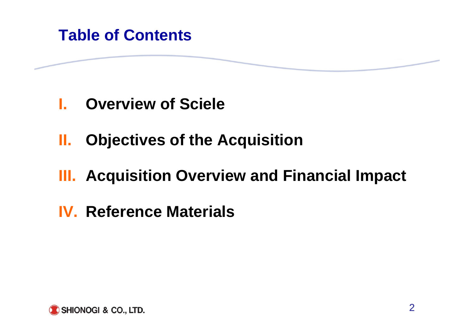### **Table of Contents**

- **I.Overview of Sciele**
- **II.Objectives of the Acquisition**
- **III. Acquisition Overview and Financial Impact**
- **IV. Reference Materials**

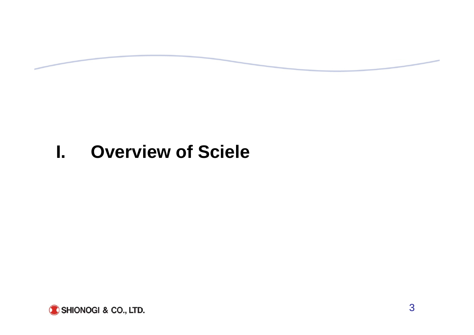# **I. Overview of Sciele**

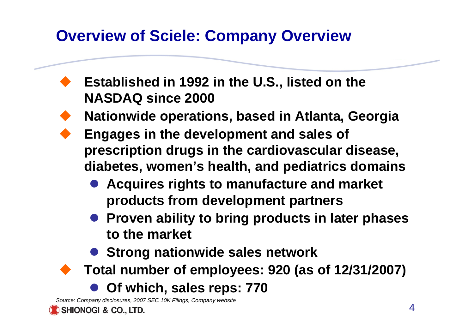## **Overview of Sciele: Company Overview**

- **Established in 1992 in the U.S., listed on the NASDAQ since 2000**
- **Nationwide operations, based in Atlanta, Georgia**
- **Engages in the development and sales of prescription drugs in the cardiovascular disease, diabetes, women's health, and pediatrics domains**
	- $\bullet$  **Acquires rights to manufacture and market products from development partners**
	- **Proven ability to bring products in later phases to the market**
	- **Strong nationwide sales network**
	- **Total number of employees: 920 (as of 12/31/2007)**
		- $\bullet$ **Of which, sales reps: 770**

*Source: Company disclosures, 2007 SEC 10K Filings, Company website*

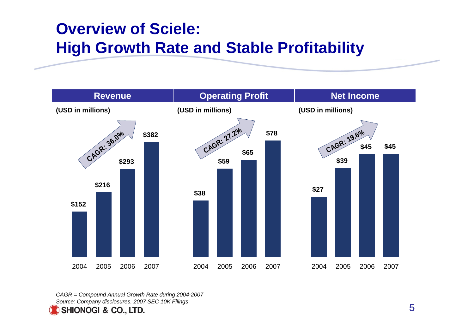## **Overview of Sciele: High Growth Rate and Stable Profitability**



*CAGR = Compound Annual Growth Rate during 2004-2007 Source: Company disclosures, 2007 SEC 10K Filings*

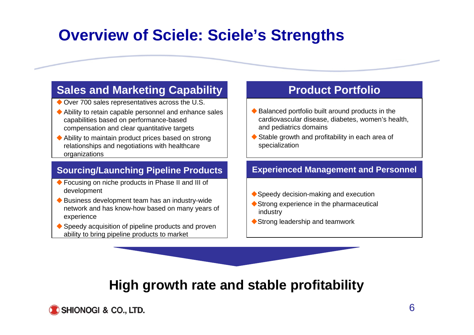## **Overview of Sciele: Sciele's Strengths**

### **Sales and Marketing Capability**

- ◆ Over 700 sales representatives across the U.S.
- Ability to retain capable personnel and enhance sales capabilities based on performance-based compensation and clear quantitative targets
- Ability to maintain product prices based on strong relationships and negotiations with healthcare organizations

### **Sourcing/Launching Pipeline Products**

- ◆ Focusing on niche products in Phase II and III of development
- Business development team has an industry-wide network and has know-how based on many years of experience
- ◆ Speedy acquisition of pipeline products and proven ability to bring pipeline products to market

### **Product Portfolio**

- Balanced portfolio built around products in the cardiovascular disease, diabetes, women's health, and pediatrics domains
- ◆ Stable growth and profitability in each area of specialization

### **Experienced Management and Personnel**

- ◆ Speedy decision-making and execution
- ◆ Strong experience in the pharmaceutical industry
- ◆ Strong leadership and teamwork

### **High growth rate and stable profitability**

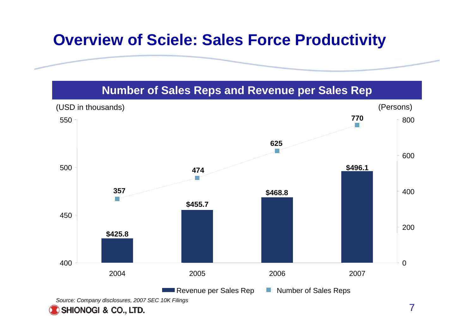## **Overview of Sciele: Sales Force Productivity**

### **Number of Sales Reps and Revenue per Sales Rep**



SHIONOGI & CO., LTD.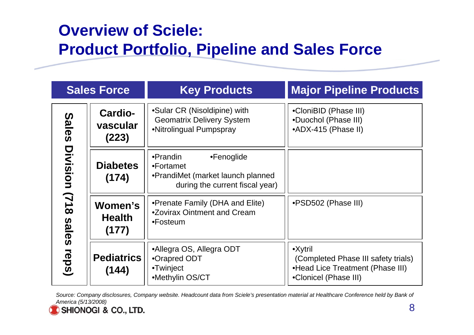## **Overview of Sciele: Product Portfolio, Pipeline and Sales Force**

| <b>Sales Force</b>                        |                                   | <b>Major Pipeline Products</b><br><b>Key Products</b>                                                       |                                                                                                                      |  |
|-------------------------------------------|-----------------------------------|-------------------------------------------------------------------------------------------------------------|----------------------------------------------------------------------------------------------------------------------|--|
| <b>Sales</b>                              | Cardio-<br>vascular<br>(223)      | •Sular CR (Nisoldipine) with<br><b>Geomatrix Delivery System</b><br>•Nitrolingual Pumpspray                 | •CloniBID (Phase III)<br>•Duochol (Phase III)<br>•ADX-415 (Phase II)                                                 |  |
| Division<br>(718<br><b>Sales</b><br>reps) | <b>Diabetes</b><br>(174)          | •Prandin<br>•Fenoglide<br>•Fortamet<br>•PrandiMet (market launch planned<br>during the current fiscal year) |                                                                                                                      |  |
|                                           | Women's<br><b>Health</b><br>(177) | •Prenate Family (DHA and Elite)<br>•Zovirax Ointment and Cream<br>•Fosteum                                  | •PSD502 (Phase III)                                                                                                  |  |
|                                           | <b>Pediatrics</b><br>(144)        | •Allegra OS, Allegra ODT<br>•Orapred ODT<br>•Twinject<br>•Methylin OS/CT                                    | $\bullet$ Xytril<br>(Completed Phase III safety trials)<br>•Head Lice Treatment (Phase III)<br>•Clonicel (Phase III) |  |

Source: Company disclosures, Company website. Headcount data from Sciele's presentation material at Healthcare Conference held by Bank of *America (5/13/2008)*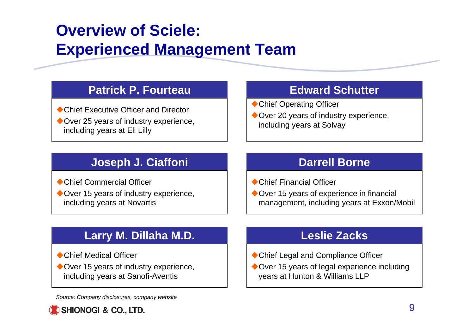# **Overview of Sciele: Experienced Management Team**

### **Patrick P. Fourteau**

◆ Chief Executive Officer and Director ◆ Over 25 years of industry experience, including years at Eli Lilly

### **Edward Schutter**

- ◆ Chief Operating Officer
- ◆ Over 20 years of industry experience, including years at Solvay

### **Joseph J. Ciaffoni**

- ◆ Chief Commercial Officer
- ◆ Over 15 years of industry experience, including years at Novartis

### **Darrell Borne**

- ◆ Chief Financial Officer
- ◆ Over 15 years of experience in financial management, including years at Exxon/Mobil

### **Larry M. Dillaha M.D.**

- ◆ Chief Medical Officer
- ◆ Over 15 years of industry experience, including years at Sanofi-Aventis

*Source: Company disclosures, company website*



### **Leslie Zacks**

- ◆ Chief Legal and Compliance Officer
- ◆ Over 15 years of legal experience including years at Hunton & Williams LLP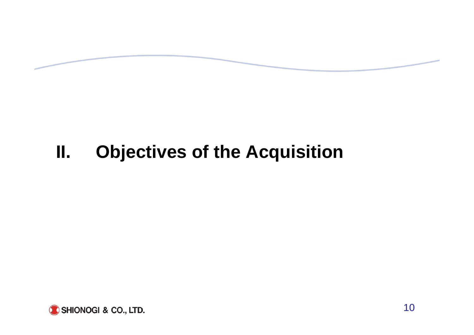# **II. Objectives of the Acquisition**

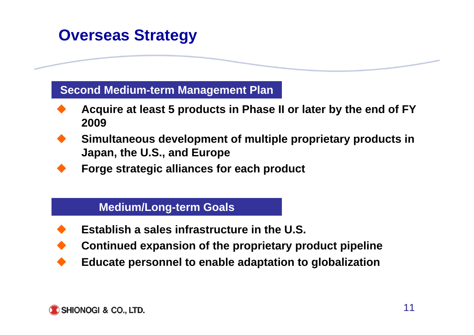## **Overseas Strategy**

### **Second Medium-term Management Plan**

- ♦ **Acquire at least 5 products in Phase II or later by the end of FY 2009**
- ♦ **Simultaneous development of multiple proprietary products in Japan, the U.S., and Europe**
	- **Forge strategic alliances for each product**

### **Medium/Long-term Goals**

- ♦ **Establish a sales infrastructure in the U.S.**
- ♦ **Continued expansion of the proprietary product pipeline**
- ♦ **Educate personnel to enable adaptation to globalization**

♦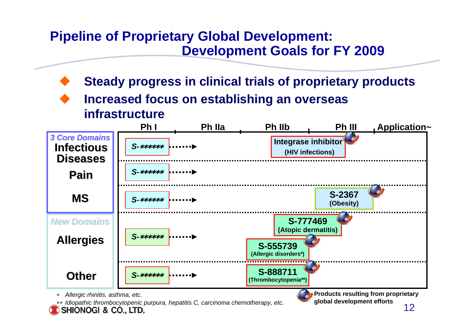### **Pipeline of Proprietary Global Development: Development Goals for FY 2009**

- **Steady progress in clinical trials of proprietary products**
- **Increased focus on establishing an overseas infrastructure**



<sup>∗</sup>*Allergic rhinitis, asthma, etc.*

∗∗ *Idiopathic thrombocytopenic purpura, hepatitis C, carcinoma chemotherapy, etc.* SHIONOGI & CO., LTD.

**global development efforts**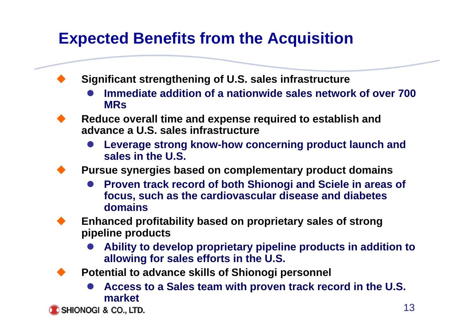## **Expected Benefits from the Acquisition**

**Significant strengthening of U.S. sales infrastructure**

- $\bullet$  **Immediate addition of a nationwide sales network of over 700 MRs**
- ♦ **Reduce overall time and expense required to establish and advance a U.S. sales infrastructure**
	- $\bullet$  **Leverage strong know-how concerning product launch and sales in the U.S.**

♦ **Pursue synergies based on complementary product domains**

 $\bullet$  **Proven track record of both Shionogi and Sciele in areas of focus, such as the cardiovascular disease and diabetes domains**

♦ **Enhanced profitability based on proprietary sales of strong pipeline products**

- $\bullet$  **Ability to develop proprietary pipeline products in addition to allowing for sales efforts in the U.S.**
- **Potential to advance skills of Shionogi personnel**
	- $\bullet$  **Access to a Sales team with proven track record in the U.S. market**

SHIONOGI & CO., LTD.

♦

♦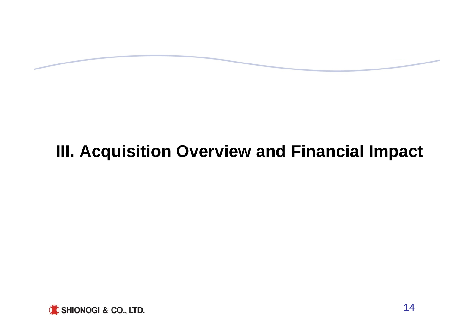# **III. Acquisition Overview and Financial Impact**

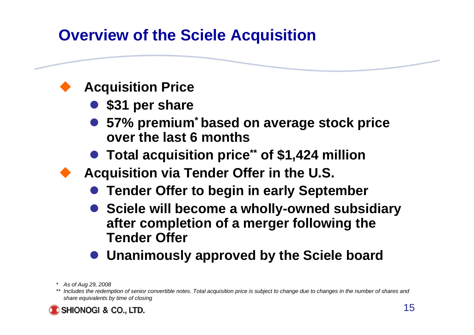## **Overview of the Sciele Acquisition**

### **Acquisition Price**

- **\$31 per share**
- 57% premium<sup>\*</sup> based on average stock price **over the last 6 months**
- Total acquisition price<sup>\*\*</sup> of \$1,424 million
- **Acquisition via Tender Offer in the U.S.**
	- $\bullet$ **Tender Offer to begin in early September**
	- $\bullet$  **Sciele will become a wholly-owned subsidiary after completion of a merger following the Tender Offer**
	- **Unanimously approved by the Sciele board**
- *\* As of Aug 29, 2008*

*<sup>\*\*</sup> Includes the redemption of senior convertible notes. Total acquisition price is subject to change due to changes in the number of shares and share equivalents by time of closing* 

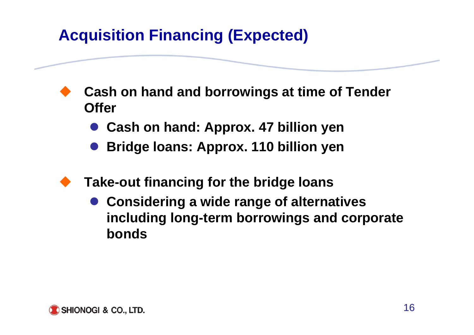# **Acquisition Financing (Expected)**

 **Cash on hand and borrowings at time of Tender Offer**

- $\bullet$ **Cash on hand: Approx. 47 billion yen**
- $\bullet$ **Bridge loans: Approx. 110 billion yen**
- **Take-out financing for the bridge loans**
	- **Considering a wide range of alternatives including long-term borrowings and corporate bonds**

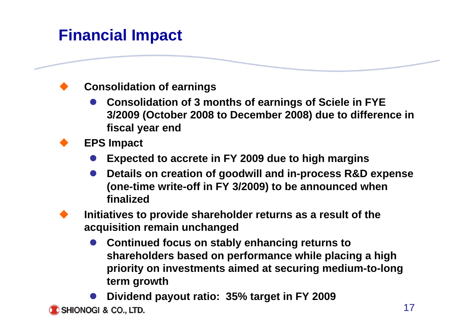## **Financial Impact**

### **Consolidation of earnings**

- $\bullet$  **Consolidation of 3 months of earnings of Sciele in FYE 3/2009 (October 2008 to December 2008) due to difference in fiscal year end**
- **EPS Impact**

♦

 $\blacklozenge$ 

- $\bullet$ **Expected to accrete in FY 2009 due to high margins**
- $\bullet$  **Details on creation of goodwill and in-process R&D expense (one-time write-off in FY 3/2009) to be announced when finalized**
- $\blacklozenge$  **Initiatives to provide shareholder returns as a result of the acquisition remain unchanged**
	- $\bullet$  **Continued focus on stably enhancing returns to shareholders based on performance while placing a high priority on investments aimed at securing medium-to-long term growth**

 $\bullet$ **Dividend payout ratio: 35% target in FY 2009**

SHIONOGI & CO., LTD.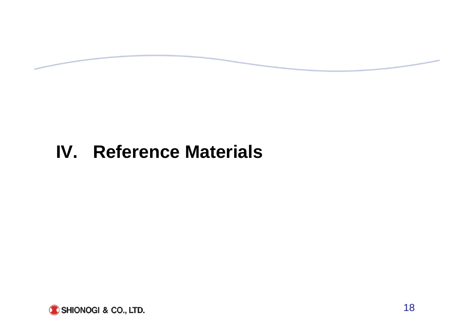# **IV. Reference Materials**

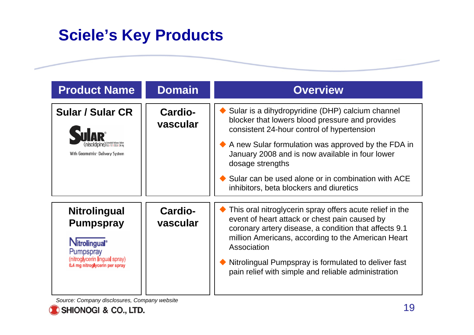## **Sciele's Key Products**

| <b>Product Name</b>                                                                                                                                  | <b>Domain</b>       | <b>Overview</b>                                                                                                                                                                                                                                                                                                                                                                 |
|------------------------------------------------------------------------------------------------------------------------------------------------------|---------------------|---------------------------------------------------------------------------------------------------------------------------------------------------------------------------------------------------------------------------------------------------------------------------------------------------------------------------------------------------------------------------------|
| <b>Sular / Sular CR</b><br>With Geomatrix <sup>®</sup> Delivery System                                                                               | Cardio-<br>vascular | Sular is a dihydropyridine (DHP) calcium channel<br>blocker that lowers blood pressure and provides<br>consistent 24-hour control of hypertension<br>A new Sular formulation was approved by the FDA in<br>January 2008 and is now available in four lower<br>dosage strengths<br>Sular can be used alone or in combination with ACE<br>inhibitors, beta blockers and diuretics |
| <b>Nitrolingual</b><br><b>Pumpspray</b><br>Nitrolingual <sup>®</sup><br>Pumpspray<br>(nitroglycerin lingual spray)<br>0.4 mg nitroglycerin per spray | Cardio-<br>vascular | This oral nitroglycerin spray offers acute relief in the<br>event of heart attack or chest pain caused by<br>coronary artery disease, a condition that affects 9.1<br>million Americans, according to the American Heart<br>Association<br>Nitrolingual Pumpspray is formulated to deliver fast<br>pain relief with simple and reliable administration                          |

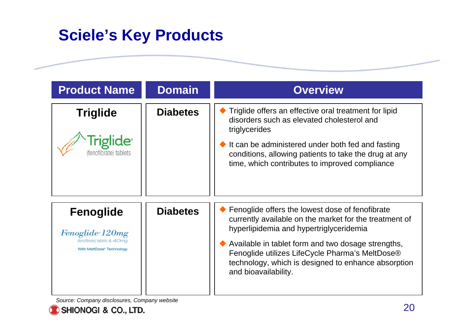## **Sciele's Key Products**

| <b>Product Name</b>                                                                             | <b>Domain</b>   | <b>Overview</b>                                                                                                                                                                                                                                                                                                                              |
|-------------------------------------------------------------------------------------------------|-----------------|----------------------------------------------------------------------------------------------------------------------------------------------------------------------------------------------------------------------------------------------------------------------------------------------------------------------------------------------|
| <b>Triglide</b><br><b>Triglide</b> <sup>®</sup><br>enotibrate) tablets                          | <b>Diabetes</b> | Triglide offers an effective oral treatment for lipid<br>disorders such as elevated cholesterol and<br>triglycerides<br>It can be administered under both fed and fasting<br>conditions, allowing patients to take the drug at any<br>time, which contributes to improved compliance                                                         |
| <b>Fenoglide</b><br>Fenoglide 120mg<br>l'enofbratei tablets & 40ma<br>With MeltDose* Technology | <b>Diabetes</b> | Fenoglide offers the lowest dose of fenofibrate<br>currently available on the market for the treatment of<br>hyperlipidemia and hypertriglyceridemia<br>Available in tablet form and two dosage strengths,<br>Fenoglide utilizes LifeCycle Pharma's MeltDose®<br>technology, which is designed to enhance absorption<br>and bioavailability. |

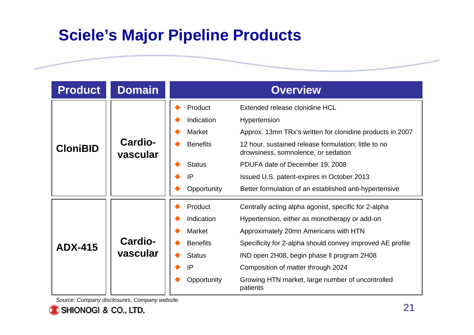## **Sciele's Major Pipeline Products**

| <b>Product</b>  | <b>Domain</b>              | <b>Overview</b>                                                                                                                                                                                                                                                                                                                                                                                                                                                    |  |
|-----------------|----------------------------|--------------------------------------------------------------------------------------------------------------------------------------------------------------------------------------------------------------------------------------------------------------------------------------------------------------------------------------------------------------------------------------------------------------------------------------------------------------------|--|
| <b>CloniBID</b> | Cardio-<br>vascular        | Product<br>Extended release clonidine HCL<br>Indication<br>Hypertension<br><b>Market</b><br>Approx. 13mn TRx's written for clonidine products in 2007<br><b>Benefits</b><br>12 hour, sustained release formulation; little to no<br>drowsiness, somnolence, or sedation<br><b>Status</b><br>PDUFA date of December 19, 2008<br>IP<br>Issued U.S. patent-expires in October 2013<br>Opportunity<br>Better formulation of an established anti-hypertensive           |  |
| <b>ADX-415</b>  | <b>Cardio-</b><br>vascular | Product<br>Centrally acting alpha agonist, specific for 2-alpha<br>Indication<br>Hypertension, either as monotherapy or add-on<br><b>Market</b><br>Approximately 20mn Americans with HTN<br><b>Benefits</b><br>Specificity for 2-alpha should convey improved AE profile<br><b>Status</b><br>IND open 2H08, begin phase II program 2H08<br>IP<br>Composition of matter through 2024<br>Opportunity<br>Growing HTN market, large number of uncontrolled<br>patients |  |

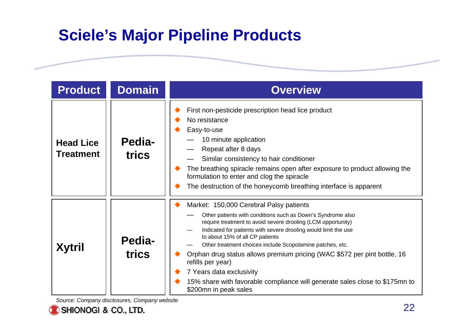## **Sciele's Major Pipeline Products**

| <b>Product</b>                       | <b>Domain</b>   | <b>Overview</b>                                                                                                                                                                                                                                                                                                                                                                                                                                                                                                                                                                |
|--------------------------------------|-----------------|--------------------------------------------------------------------------------------------------------------------------------------------------------------------------------------------------------------------------------------------------------------------------------------------------------------------------------------------------------------------------------------------------------------------------------------------------------------------------------------------------------------------------------------------------------------------------------|
| <b>Head Lice</b><br><b>Treatment</b> | Pedia-<br>trics | First non-pesticide prescription head lice product<br>No resistance<br>Easy-to-use<br>10 minute application<br>Repeat after 8 days<br>Similar consistency to hair conditioner<br>The breathing spiracle remains open after exposure to product allowing the<br>formulation to enter and clog the spiracle<br>The destruction of the honeycomb breathing interface is apparent                                                                                                                                                                                                  |
| <b>Xytril</b>                        | Pedia-<br>trics | Market: 150,000 Cerebral Palsy patients<br>Other patients with conditions such as Down's Syndrome also<br>require treatment to avoid severe drooling (LCM opportunity)<br>Indicated for patients with severe drooling would limit the use<br>to about 15% of all CP patients<br>Other treatment choices include Scopolamine patches, etc.<br>Orphan drug status allows premium pricing (WAC \$572 per pint bottle, 16<br>refills per year)<br>7 Years data exclusivity<br>15% share with favorable compliance will generate sales close to \$175mn to<br>\$200mn in peak sales |

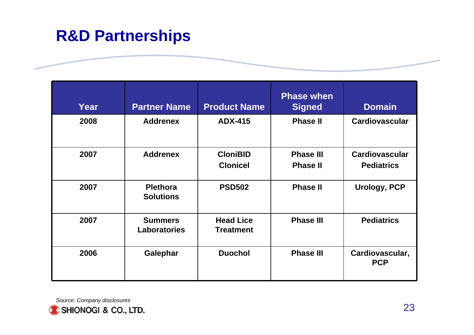## **R&D Partnerships**

| Year | <b>Partner Name</b>                   | <b>Product Name</b>                  | <b>Phase when</b><br><b>Signed</b>  | <b>Domain</b>                              |
|------|---------------------------------------|--------------------------------------|-------------------------------------|--------------------------------------------|
| 2008 | <b>Addrenex</b>                       | <b>ADX-415</b>                       | <b>Phase II</b>                     | <b>Cardiovascular</b>                      |
| 2007 | <b>Addrenex</b>                       | <b>CloniBID</b><br><b>Clonicel</b>   | <b>Phase III</b><br><b>Phase II</b> | <b>Cardiovascular</b><br><b>Pediatrics</b> |
| 2007 | <b>Plethora</b><br><b>Solutions</b>   | <b>PSD502</b>                        | <b>Phase II</b>                     | <b>Urology, PCP</b>                        |
| 2007 | <b>Summers</b><br><b>Laboratories</b> | <b>Head Lice</b><br><b>Treatment</b> | <b>Phase III</b>                    | <b>Pediatrics</b>                          |
| 2006 | Galephar                              | <b>Duochol</b>                       | <b>Phase III</b>                    | Cardiovascular,<br><b>PCP</b>              |